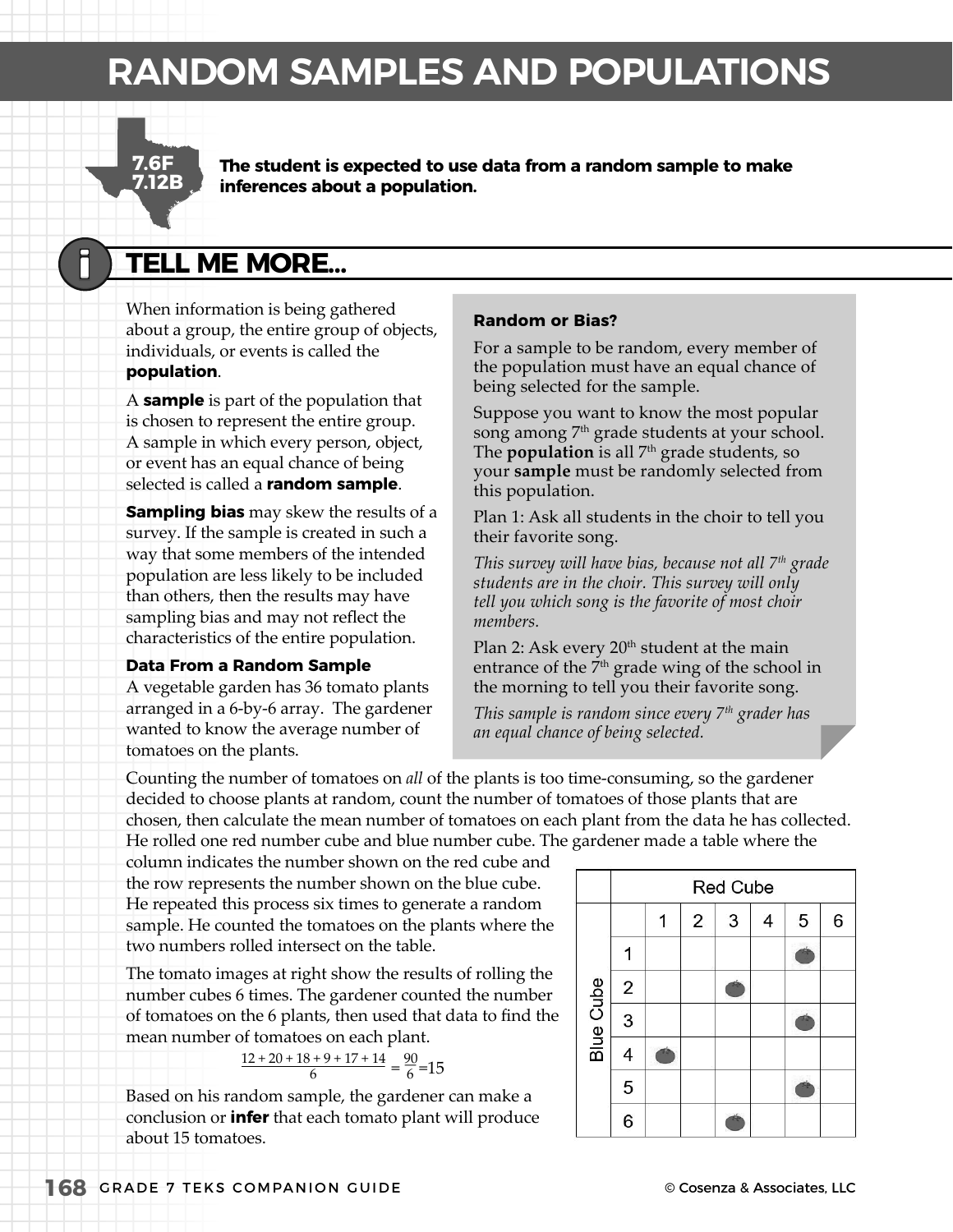# **RANDOM SAMPLES AND POPULATIONS**



**The student is expected to use data from a random sample to make inferences about a population.**

# **TELL ME MORE…**

When information is being gathered about a group, the entire group of objects, individuals, or events is called the **population**.

A **sample** is part of the population that is chosen to represent the entire group. A sample in which every person, object, or event has an equal chance of being selected is called a **random sample**.

**Sampling bias** may skew the results of a survey. If the sample is created in such a way that some members of the intended population are less likely to be included than others, then the results may have sampling bias and may not reflect the characteristics of the entire population.

#### **Data From a Random Sample**

A vegetable garden has 36 tomato plants arranged in a 6-by-6 array. The gardener wanted to know the average number of tomatoes on the plants.

#### **Random or Bias?**

For a sample to be random, every member of the population must have an equal chance of being selected for the sample.

Suppose you want to know the most popular song among 7<sup>th</sup> grade students at your school. The **population** is all 7<sup>th</sup> grade students, so your **sample** must be randomly selected from this population.

Plan 1: Ask all students in the choir to tell you their favorite song.

*This survey will have bias, because not all 7th grade students are in the choir. This survey will only tell you which song is the favorite of most choir members.*

Plan 2: Ask every  $20<sup>th</sup>$  student at the main entrance of the  $\bar{7}^{\text{th}}$  grade wing of the school in the morning to tell you their favorite song.

*This sample is random since every 7th grader has an equal chance of being selected.*

Counting the number of tomatoes on *all* of the plants is too time-consuming, so the gardener decided to choose plants at random, count the number of tomatoes of those plants that are chosen, then calculate the mean number of tomatoes on each plant from the data he has collected. He rolled one red number cube and blue number cube. The gardener made a table where the

column indicates the number shown on the red cube and the row represents the number shown on the blue cube. He repeated this process six times to generate a random sample. He counted the tomatoes on the plants where the two numbers rolled intersect on the table.

The tomato images at right show the results of rolling the number cubes 6 times. The gardener counted the number of tomatoes on the 6 plants, then used that data to find the mean number of tomatoes on each plant.

$$
\frac{12 + 20 + 18 + 9 + 17 + 14}{6} = \frac{90}{6} = 15
$$

Based on his random sample, the gardener can make a conclusion or **infer** that each tomato plant will produce about 15 tomatoes.

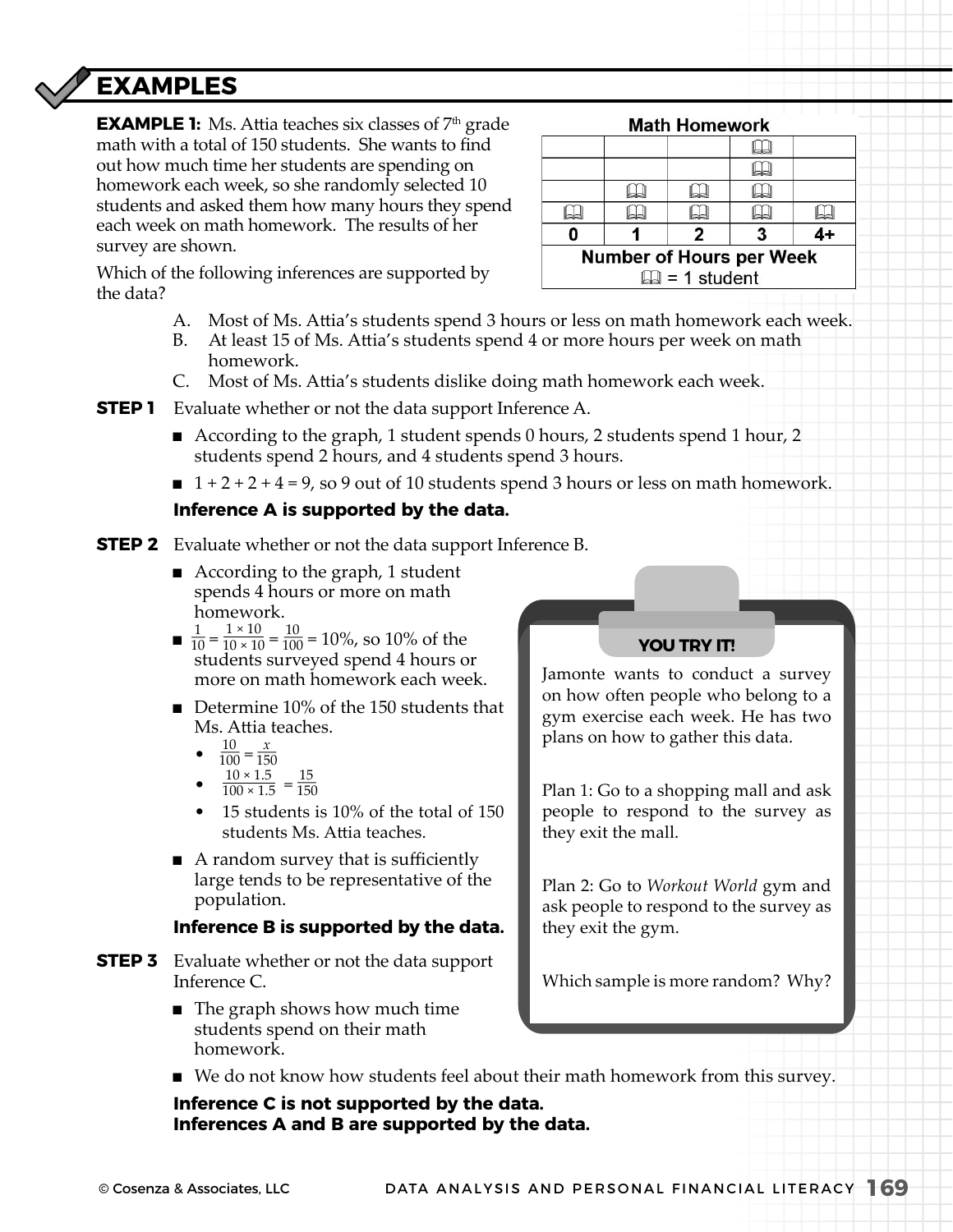# **EXAMPLES**

**EXAMPLE 1:** Ms. Attia teaches six classes of 7<sup>th</sup> grade math with a total of 150 students. She wants to find out how much time her students are spending on homework each week, so she randomly selected 10 students and asked them how many hours they spend each week on math homework. The results of her survey are shown.

|                                 |  | <b>Math Homework</b> |  |  |  |
|---------------------------------|--|----------------------|--|--|--|
|                                 |  |                      |  |  |  |
|                                 |  |                      |  |  |  |
|                                 |  |                      |  |  |  |
|                                 |  |                      |  |  |  |
|                                 |  | 2                    |  |  |  |
| <b>Number of Hours per Week</b> |  |                      |  |  |  |
| $\Box$ = 1 student              |  |                      |  |  |  |

Which of the following inferences are supported by the data?

- A. Most of Ms. Attia's students spend 3 hours or less on math homework each week.
- B. At least 15 of Ms. Attia's students spend 4 or more hours per week on math homework.
- C. Most of Ms. Attia's students dislike doing math homework each week.

**STEP 1** Evaluate whether or not the data support Inference A.

- According to the graph, 1 student spends 0 hours, 2 students spend 1 hour, 2 students spend 2 hours, and 4 students spend 3 hours.
- $\blacksquare$  1 + 2 + 2 + 4 = 9, so 9 out of 10 students spend 3 hours or less on math homework.

## **Inference A is supported by the data.**

- **STEP 2** Evaluate whether or not the data support Inference B.
	- According to the graph, 1 student spends 4 hours or more on math homework.
	- $\blacksquare$   $\frac{1}{10} = \frac{1 \times 10}{10 \times 10} = \frac{10}{100} = 10\%$ , so 10% of the students surveyed spend 4 hours or more on math homework each week.
	- $\blacksquare$  Determine 10% of the 150 students that Ms. Attia teaches.
		- $\frac{10}{100} = \frac{x}{150}$
		- $10 \times 1.5$
		- $\frac{10 \times 1.5}{100 \times 1.5} = \frac{15}{150}$
		- 15 students is 10% of the total of 150 students Ms. Attia teaches.
	- $\blacksquare$  A random survey that is sufficiently large tends to be representative of the population.

## **Inference B is supported by the data.**

- **STEP 3** Evaluate whether or not the data support Inference C.
	- $\blacksquare$  The graph shows how much time students spend on their math homework.

# **YOU TRY IT!**

Jamonte wants to conduct a survey on how often people who belong to a gym exercise each week. He has two plans on how to gather this data.

Plan 1: Go to a shopping mall and ask people to respond to the survey as they exit the mall.

Plan 2: Go to *Workout World* gym and ask people to respond to the survey as they exit the gym.

Which sample is more random? Why?

<sup>n</sup> We do not know how students feel about their math homework from this survey.

 **Inference C is not supported by the data. Inferences A and B are supported by the data.**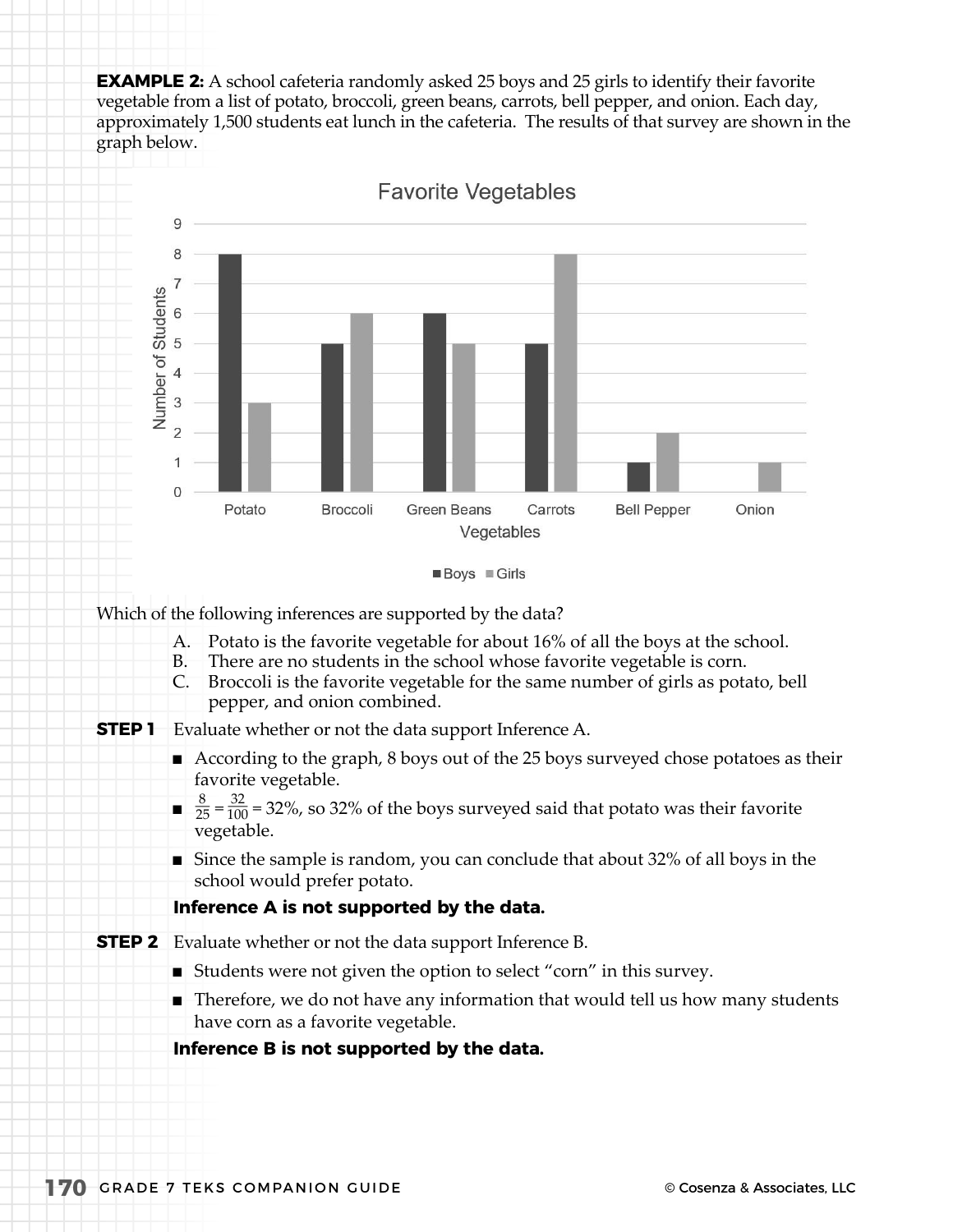**EXAMPLE 2:** A school cafeteria randomly asked 25 boys and 25 girls to identify their favorite vegetable from a list of potato, broccoli, green beans, carrots, bell pepper, and onion. Each day, approximately 1,500 students eat lunch in the cafeteria. The results of that survey are shown in the graph below.







Which of the following inferences are supported by the data?

- A. Potato is the favorite vegetable for about 16% of all the boys at the school.
- B. There are no students in the school whose favorite vegetable is corn.
- C. Broccoli is the favorite vegetable for the same number of girls as potato, bell pepper, and onion combined.
- **STEP 1** Evaluate whether or not the data support Inference A.
	- $\blacksquare$  According to the graph, 8 boys out of the 25 boys surveyed chose potatoes as their favorite vegetable.
	- $\frac{8}{25} = \frac{32}{100} = 32\%$ , so 32% of the boys surveyed said that potato was their favorite vegetable.
	- $\blacksquare$  Since the sample is random, you can conclude that about 32% of all boys in the school would prefer potato.

#### **Inference A is not supported by the data.**

- **STEP 2** Evaluate whether or not the data support Inference B.
	- $\blacksquare$  Students were not given the option to select "corn" in this survey.
	- $\blacksquare$  Therefore, we do not have any information that would tell us how many students have corn as a favorite vegetable.

## **Inference B is not supported by the data.**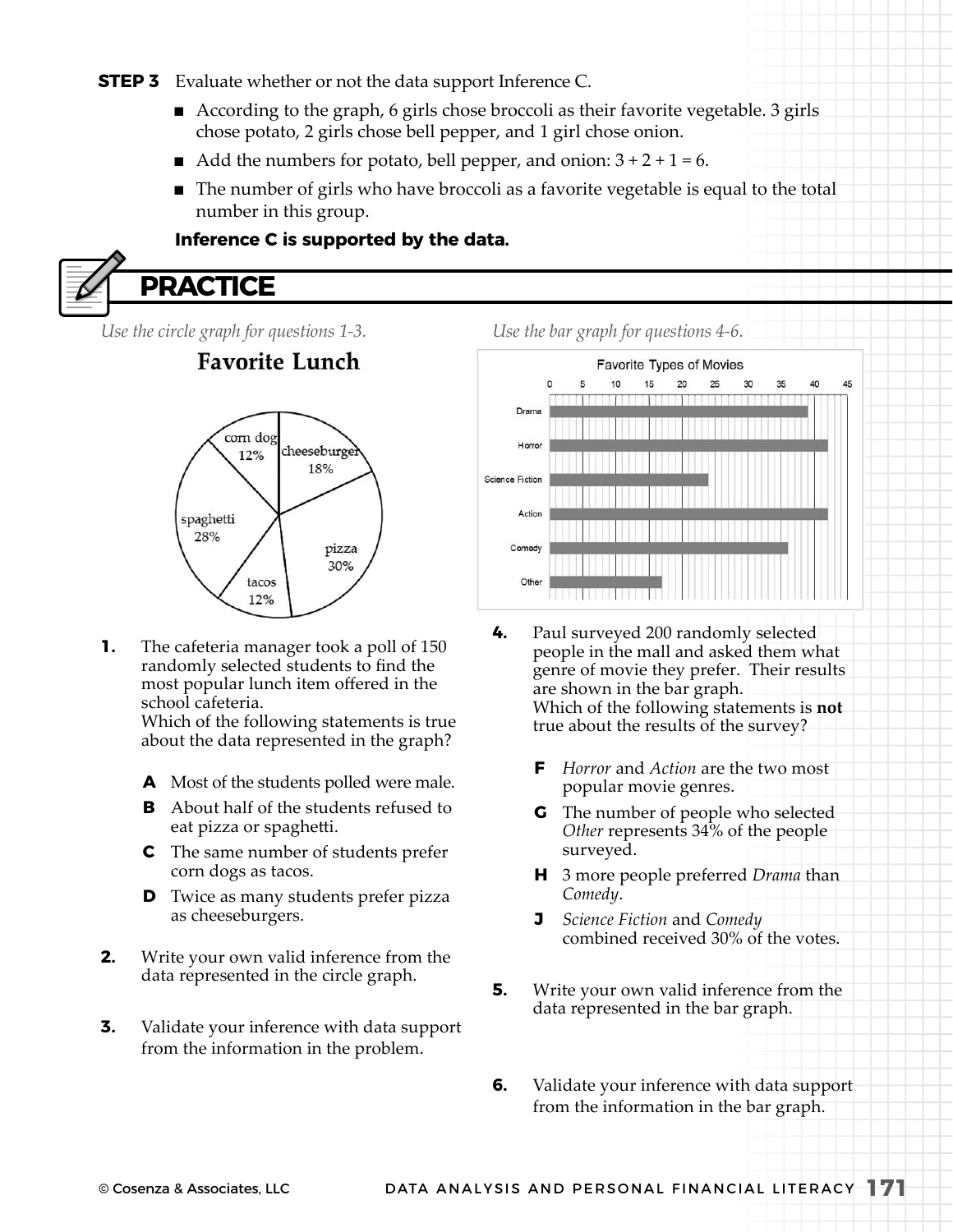#### **STEP 3** Evaluate whether or not the data support Inference C.

- $\blacksquare$  According to the graph, 6 girls chose broccoli as their favorite vegetable. 3 girls chose potato, 2 girls chose bell pepper, and 1 girl chose onion.
- Add the numbers for potato, bell pepper, and onion:  $3 + 2 + 1 = 6$ .
- The number of girls who have broccoli as a favorite vegetable is equal to the total number in this group.

#### **Inference C is supported by the data.**



*Use the circle graph for questions 1-3.*

# **Favorite Lunch**



**1.** The cafeteria manager took a poll of 150 randomly selected students to find the most popular lunch item ofered in the school cafeteria.

> Which of the following statements is true about the data represented in the graph?

- **A** Most of the students polled were male.
- **B** About half of the students refused to eat pizza or spagheti.
- **C** The same number of students prefer corn dogs as tacos.
- **D** Twice as many students prefer pizza as cheeseburgers.
- **2.** Write your own valid inference from the data represented in the circle graph.
- **3.** Validate your inference with data support from the information in the problem.

*Use the bar graph for questions 4-6.*



- **4.** Paul surveyed 200 randomly selected people in the mall and asked them what genre of movie they prefer. Their results are shown in the bar graph. Which of the following statements is **not** true about the results of the survey?
	- **F** *Horror* and *Action* are the two most popular movie genres.
	- **G** The number of people who selected *Other* represents 34% of the people surveyed.
	- **H** 3 more people preferred *Drama* than *Comedy*.
	- **J** *Science Fiction* and *Comedy* combined received 30% of the votes.
- **5.** Write your own valid inference from the data represented in the bar graph.
- **6.** Validate your inference with data support from the information in the bar graph.